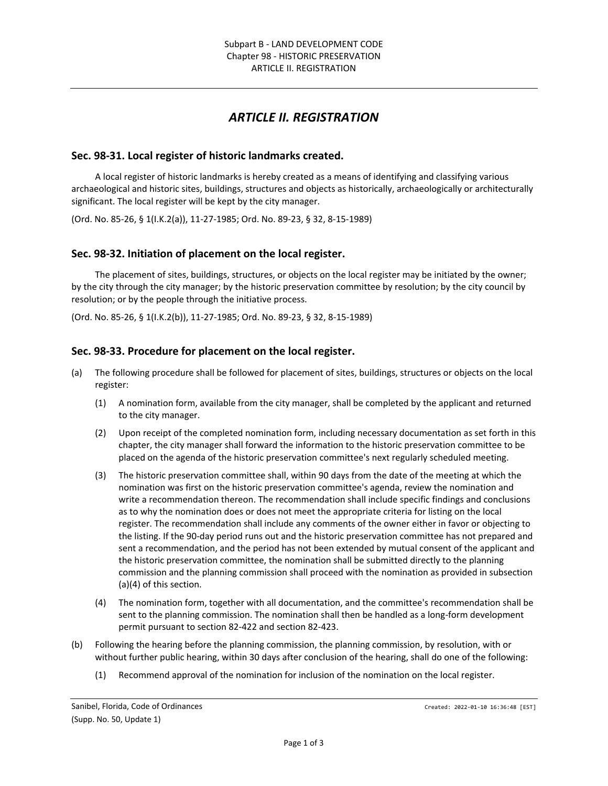# *ARTICLE II. REGISTRATION*

## **Sec. 98-31. Local register of historic landmarks created.**

A local register of historic landmarks is hereby created as a means of identifying and classifying various archaeological and historic sites, buildings, structures and objects as historically, archaeologically or architecturally significant. The local register will be kept by the city manager.

(Ord. No. 85-26, § 1(I.K.2(a)), 11-27-1985; Ord. No. 89-23, § 32, 8-15-1989)

#### **Sec. 98-32. Initiation of placement on the local register.**

The placement of sites, buildings, structures, or objects on the local register may be initiated by the owner; by the city through the city manager; by the historic preservation committee by resolution; by the city council by resolution; or by the people through the initiative process.

(Ord. No. 85-26, § 1(I.K.2(b)), 11-27-1985; Ord. No. 89-23, § 32, 8-15-1989)

#### **Sec. 98-33. Procedure for placement on the local register.**

- (a) The following procedure shall be followed for placement of sites, buildings, structures or objects on the local register:
	- (1) A nomination form, available from the city manager, shall be completed by the applicant and returned to the city manager.
	- (2) Upon receipt of the completed nomination form, including necessary documentation as set forth in this chapter, the city manager shall forward the information to the historic preservation committee to be placed on the agenda of the historic preservation committee's next regularly scheduled meeting.
	- (3) The historic preservation committee shall, within 90 days from the date of the meeting at which the nomination was first on the historic preservation committee's agenda, review the nomination and write a recommendation thereon. The recommendation shall include specific findings and conclusions as to why the nomination does or does not meet the appropriate criteria for listing on the local register. The recommendation shall include any comments of the owner either in favor or objecting to the listing. If the 90-day period runs out and the historic preservation committee has not prepared and sent a recommendation, and the period has not been extended by mutual consent of the applicant and the historic preservation committee, the nomination shall be submitted directly to the planning commission and the planning commission shall proceed with the nomination as provided in subsection (a)(4) of this section.
	- (4) The nomination form, together with all documentation, and the committee's recommendation shall be sent to the planning commission. The nomination shall then be handled as a long-form development permit pursuant to section 82-422 and section 82-423.
- (b) Following the hearing before the planning commission, the planning commission, by resolution, with or without further public hearing, within 30 days after conclusion of the hearing, shall do one of the following:
	- (1) Recommend approval of the nomination for inclusion of the nomination on the local register.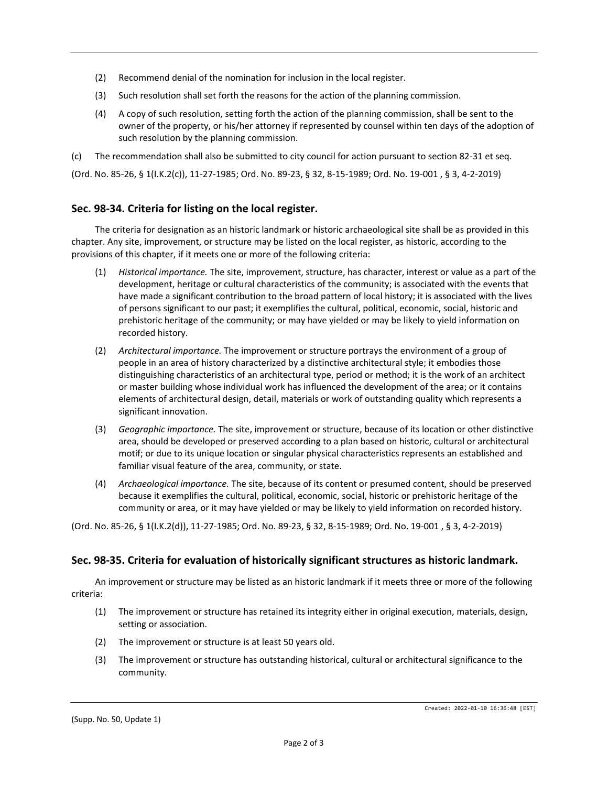- (2) Recommend denial of the nomination for inclusion in the local register.
- (3) Such resolution shall set forth the reasons for the action of the planning commission.
- (4) A copy of such resolution, setting forth the action of the planning commission, shall be sent to the owner of the property, or his/her attorney if represented by counsel within ten days of the adoption of such resolution by the planning commission.

(c) The recommendation shall also be submitted to city council for action pursuant to section 82-31 et seq.

(Ord. No. 85-26, § 1(I.K.2(c)), 11-27-1985; Ord. No. 89-23, § 32, 8-15-1989; Ord. No. 19-001 , § 3, 4-2-2019)

#### **Sec. 98-34. Criteria for listing on the local register.**

The criteria for designation as an historic landmark or historic archaeological site shall be as provided in this chapter. Any site, improvement, or structure may be listed on the local register, as historic, according to the provisions of this chapter, if it meets one or more of the following criteria:

- (1) *Historical importance.* The site, improvement, structure, has character, interest or value as a part of the development, heritage or cultural characteristics of the community; is associated with the events that have made a significant contribution to the broad pattern of local history; it is associated with the lives of persons significant to our past; it exemplifies the cultural, political, economic, social, historic and prehistoric heritage of the community; or may have yielded or may be likely to yield information on recorded history.
- (2) *Architectural importance.* The improvement or structure portrays the environment of a group of people in an area of history characterized by a distinctive architectural style; it embodies those distinguishing characteristics of an architectural type, period or method; it is the work of an architect or master building whose individual work has influenced the development of the area; or it contains elements of architectural design, detail, materials or work of outstanding quality which represents a significant innovation.
- (3) *Geographic importance.* The site, improvement or structure, because of its location or other distinctive area, should be developed or preserved according to a plan based on historic, cultural or architectural motif; or due to its unique location or singular physical characteristics represents an established and familiar visual feature of the area, community, or state.
- (4) *Archaeological importance.* The site, because of its content or presumed content, should be preserved because it exemplifies the cultural, political, economic, social, historic or prehistoric heritage of the community or area, or it may have yielded or may be likely to yield information on recorded history.

(Ord. No. 85-26, § 1(I.K.2(d)), 11-27-1985; Ord. No. 89-23, § 32, 8-15-1989; Ord. No. 19-001 , § 3, 4-2-2019)

## **Sec. 98-35. Criteria for evaluation of historically significant structures as historic landmark.**

An improvement or structure may be listed as an historic landmark if it meets three or more of the following criteria:

- (1) The improvement or structure has retained its integrity either in original execution, materials, design, setting or association.
- (2) The improvement or structure is at least 50 years old.
- (3) The improvement or structure has outstanding historical, cultural or architectural significance to the community.

(Supp. No. 50, Update 1)